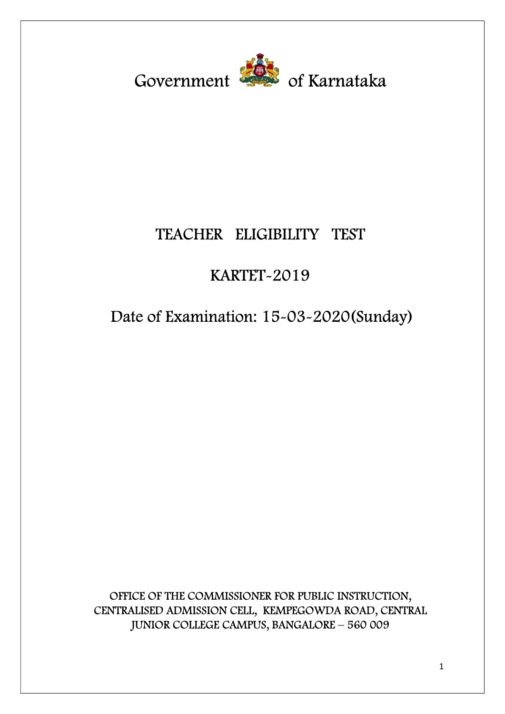Government <sup>201</sup> of Karnataka

# TEACHER ELIGIBILITY TEST

# KARTET-2019

# Date of Examination: 15-03-2020(Sunday)

OFFICE OF THE COMMISSIONER FOR PUBLIC INSTRUCTION, CENTRALISED ADMISSION CELL, KEMPEGOWDA ROAD, CENTRAL JUNIOR COLLEGE CAMPUS, BANGALORE – 560 009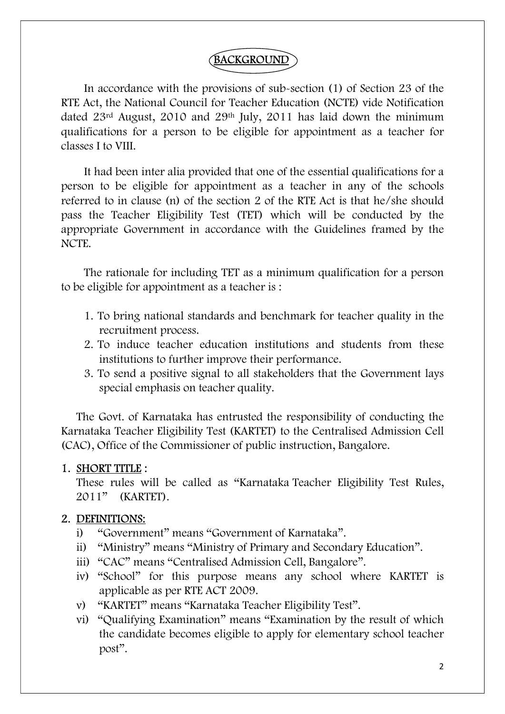# BACKGROUND

In accordance with the provisions of sub-section (1) of Section 23 of the RTE Act, the National Council for Teacher Education (NCTE) vide Notification dated 23rd August, 2010 and 29th July, 2011 has laid down the minimum qualifications for a person to be eligible for appointment as a teacher for classes I to VIII.

It had been inter alia provided that one of the essential qualifications for a person to be eligible for appointment as a teacher in any of the schools referred to in clause (n) of the section 2 of the RTE Act is that he/she should pass the Teacher Eligibility Test (TET) which will be conducted by the appropriate Government in accordance with the Guidelines framed by the NCTE.

The rationale for including TET as a minimum qualification for a person to be eligible for appointment as a teacher is :

- 1. To bring national standards and benchmark for teacher quality in the recruitment process.
- 2. To induce teacher education institutions and students from these institutions to further improve their performance.
- 3. To send a positive signal to all stakeholders that the Government lays special emphasis on teacher quality.

The Govt. of Karnataka has entrusted the responsibility of conducting the Karnataka Teacher Eligibility Test (KARTET) to the Centralised Admission Cell (CAC), Office of the Commissioner of public instruction, Bangalore.

#### 1. SHORT TITLE :

These rules will be called as "Karnataka Teacher Eligibility Test Rules, 2011" (KARTET).

#### 2. DEFINITIONS:

- i) "Government" means "Government of Karnataka".
- ii) "Ministry" means "Ministry of Primary and Secondary Education".
- iii) "CAC" means "Centralised Admission Cell, Bangalore".
- iv) "School" for this purpose means any school where KARTET is applicable as per RTE ACT 2009.
- v) "KARTET" means "Karnataka Teacher Eligibility Test".
- vi) "Qualifying Examination" means "Examination by the result of which the candidate becomes eligible to apply for elementary school teacher post".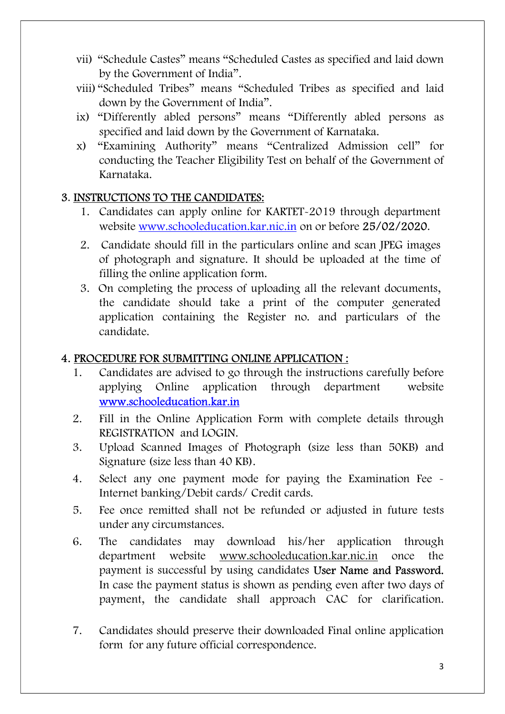- vii) "Schedule Castes" means "Scheduled Castes as specified and laid down by the Government of India".
- viii) "Scheduled Tribes" means "Scheduled Tribes as specified and laid down by the Government of India".
- ix) "Differently abled persons" means "Differently abled persons as specified and laid down by the Government of Karnataka.
- x) "Examining Authority" means "Centralized Admission cell" for conducting the Teacher Eligibility Test on behalf of the Government of Karnataka.

### 3. INSTRUCTIONS TO THE CANDIDATES:

- 1. Candidates can apply online for KARTET-2019 through department website www.schooleducation.kar.nic.in on or before 25/02/2020.
- 2. Candidate should fill in the particulars online and scan JPEG images of photograph and signature. It should be uploaded at the time of filling the online application form.
- 3. On completing the process of uploading all the relevant documents, the candidate should take a print of the computer generated application containing the Register no. and particulars of the candidate.

# 4. PROCEDURE FOR SUBMITTING ONLINE APPLICATION :

- 1. Candidates are advised to go through the instructions carefully before applying Online application through department website www.schooleducation.kar.in
- 2. Fill in the Online Application Form with complete details through REGISTRATION and LOGIN.
- 3. Upload Scanned Images of Photograph (size less than 50KB) and Signature (size less than 40 KB).
- 4. Select any one payment mode for paying the Examination Fee Internet banking/Debit cards/ Credit cards.
- 5. Fee once remitted shall not be refunded or adjusted in future tests under any circumstances.
- 6. The candidates may download his/her application through department website www.schooleducation.kar.nic.in once the payment is successful by using candidates User Name and Password. In case the payment status is shown as pending even after two days of payment, the candidate shall approach CAC for clarification.
- 7. Candidates should preserve their downloaded Final online application form for any future official correspondence.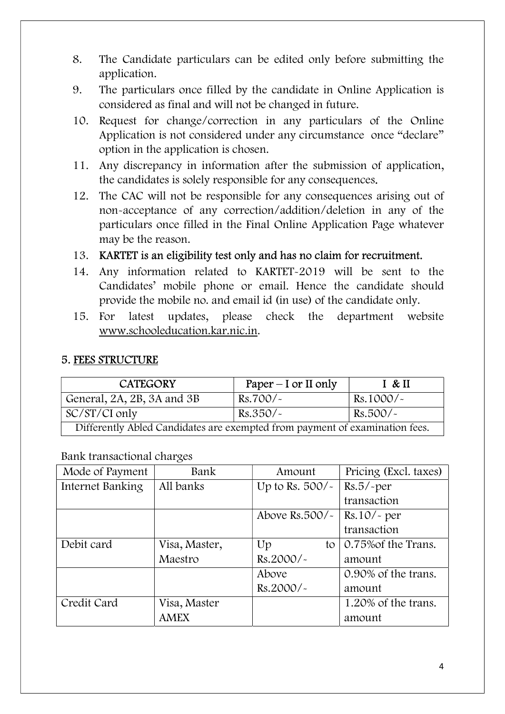- 8. The Candidate particulars can be edited only before submitting the application.
- 9. The particulars once filled by the candidate in Online Application is considered as final and will not be changed in future.
- 10. Request for change/correction in any particulars of the Online Application is not considered under any circumstance once "declare" option in the application is chosen.
- 11. Any discrepancy in information after the submission of application, the candidates is solely responsible for any consequences.
- 12. The CAC will not be responsible for any consequences arising out of non-acceptance of any correction/addition/deletion in any of the particulars once filled in the Final Online Application Page whatever may be the reason.
- 13. KARTET is an eligibility test only and has no claim for recruitment.
- 14. Any information related to KARTET-2019 will be sent to the Candidates' mobile phone or email. Hence the candidate should provide the mobile no. and email id (in use) of the candidate only.
- 15. For latest updates, please check the department website www.schooleducation.kar.nic.in.

#### 5. FEES STRUCTURE

| <b>CATEGORY</b>                                                             | Paper $-$ I or II only | I & H       |
|-----------------------------------------------------------------------------|------------------------|-------------|
| General, 2A, 2B, 3A and 3B                                                  | $Rs.700/-$             | $Rs.1000/-$ |
| SC/ST/CI only                                                               | $Rs.350/-$             | Rs.500/~    |
| Differently Abled Candidates are exempted from payment of examination fees. |                        |             |

Bank transactional charges

| Mode of Payment  | Bank          | Amount               | Pricing (Excl. taxes) |
|------------------|---------------|----------------------|-----------------------|
| Internet Banking | All banks     | Up to Rs. $500/-$    | $Rs.5/$ -per          |
|                  |               |                      | transaction           |
|                  |               | Above Rs.500/ $\sim$ | $Rs.10/-$ per         |
|                  |               |                      | transaction           |
| Debit card       | Visa, Master, | Up<br>to             | 0.75% of the Trans.   |
|                  | Maestro       | Rs.2000/~            | amount                |
|                  |               | Above                | 0.90% of the trans.   |
|                  |               | $Rs.2000/-$          | amount                |
| Credit Card      | Visa, Master  |                      | 1.20% of the trans.   |
|                  | <b>AMEX</b>   |                      | amount                |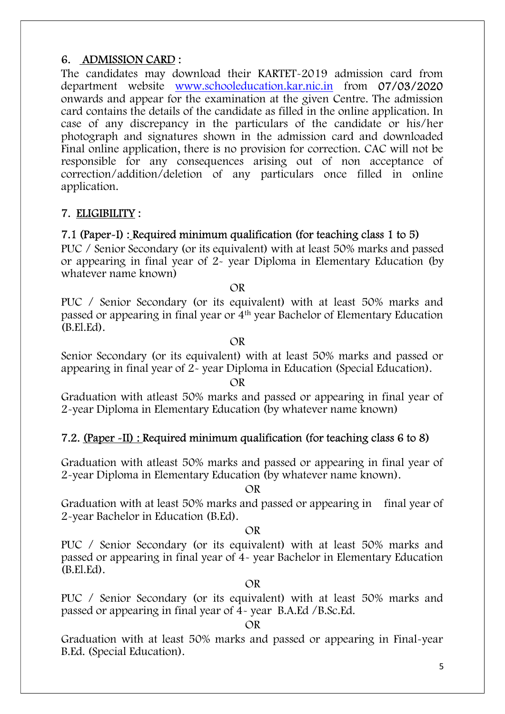#### 6. ADMISSION CARD :

The candidates may download their KARTET-2019 admission card from department website www.schooleducation.kar.nic.in from 07/03/2020 onwards and appear for the examination at the given Centre. The admission card contains the details of the candidate as filled in the online application. In case of any discrepancy in the particulars of the candidate or his/her photograph and signatures shown in the admission card and downloaded Final online application, there is no provision for correction. CAC will not be responsible for any consequences arising out of non acceptance of correction/addition/deletion of any particulars once filled in online application.

#### 7. ELIGIBILITY :

#### 7.1 (Paper-I) : Required minimum qualification (for teaching class 1 to 5)

PUC / Senior Secondary (or its equivalent) with at least 50% marks and passed or appearing in final year of 2- year Diploma in Elementary Education (by whatever name known)

OR

PUC / Senior Secondary (or its equivalent) with at least 50% marks and passed or appearing in final year or 4th year Bachelor of Elementary Education (B.El.Ed).

OR

Senior Secondary (or its equivalent) with at least 50% marks and passed or appearing in final year of 2- year Diploma in Education (Special Education).

#### OR

Graduation with atleast 50% marks and passed or appearing in final year of 2-year Diploma in Elementary Education (by whatever name known)

#### 7.2. (Paper -II) : Required minimum qualification (for teaching class 6 to 8)

Graduation with atleast 50% marks and passed or appearing in final year of 2-year Diploma in Elementary Education (by whatever name known).

OR

Graduation with at least 50% marks and passed or appearing in final year of 2-year Bachelor in Education (B.Ed).

#### OR

PUC / Senior Secondary (or its equivalent) with at least 50% marks and passed or appearing in final year of 4- year Bachelor in Elementary Education (B.El.Ed).

#### OR

PUC / Senior Secondary (or its equivalent) with at least 50% marks and passed or appearing in final year of 4- year B.A.Ed /B.Sc.Ed.

#### OR

Graduation with at least 50% marks and passed or appearing in Final-year B.Ed. (Special Education).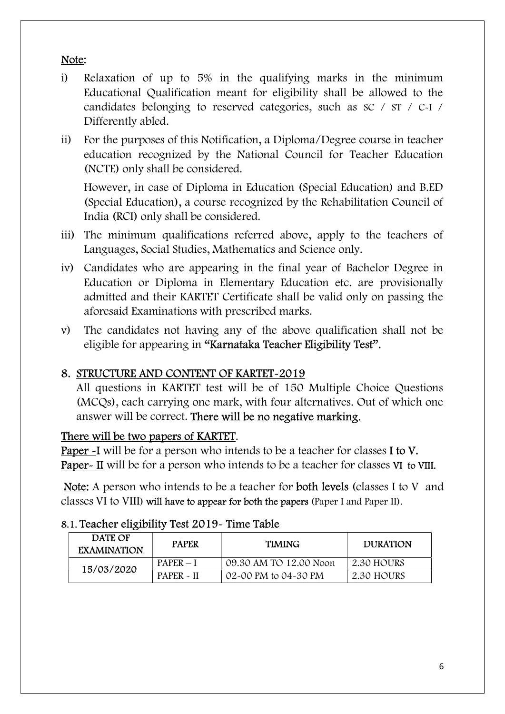# Note:

- i) Relaxation of up to 5% in the qualifying marks in the minimum Educational Qualification meant for eligibility shall be allowed to the candidates belonging to reserved categories, such as SC / ST / C-I / Differently abled.
- ii) For the purposes of this Notification, a Diploma/Degree course in teacher education recognized by the National Council for Teacher Education (NCTE) only shall be considered.

 However, in case of Diploma in Education (Special Education) and B.ED (Special Education), a course recognized by the Rehabilitation Council of India (RCI) only shall be considered.

- iii) The minimum qualifications referred above, apply to the teachers of Languages, Social Studies, Mathematics and Science only.
- iv) Candidates who are appearing in the final year of Bachelor Degree in Education or Diploma in Elementary Education etc. are provisionally admitted and their KARTET Certificate shall be valid only on passing the aforesaid Examinations with prescribed marks.
- v) The candidates not having any of the above qualification shall not be eligible for appearing in "Karnataka Teacher Eligibility Test".

# 8. STRUCTURE AND CONTENT OF KARTET-2019

All questions in KARTET test will be of 150 Multiple Choice Questions (MCQs), each carrying one mark, with four alternatives. Out of which one answer will be correct. There will be no negative marking.

#### There will be two papers of KARTET.

Paper -I will be for a person who intends to be a teacher for classes I to V. Paper- II will be for a person who intends to be a teacher for classes VI to VIII.

Note: A person who intends to be a teacher for both levels (classes I to V and classes VI to VIII) will have to appear for both the papers (Paper I and Paper II).

| DATE OF<br><b>EXAMINATION</b> | <b>PAPER</b> | <b>TIMING</b>          | <b>DURATION</b> |
|-------------------------------|--------------|------------------------|-----------------|
| 15/03/2020                    | $PAPER - 1$  | 09.30 AM TO 12.00 Noon | 2.30 HOURS      |
|                               | $PAPER - II$ | 02-00 PM to 04-30 PM   | 2.30 HOURS      |

#### 8.1. Teacher eligibility Test 2019- Time Table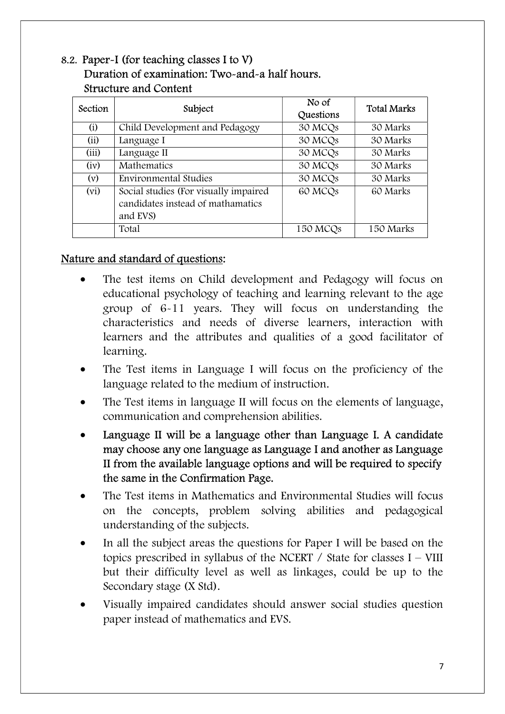# 8.2. Paper-I (for teaching classes I to V) Duration of examination: Two-and-a half hours. Structure and Content

| Section | Subject                                                                                | No of<br>Questions   | <b>Total Marks</b> |
|---------|----------------------------------------------------------------------------------------|----------------------|--------------------|
| (i)     | Child Development and Pedagogy                                                         | 30 MCQs              | 30 Marks           |
| (ii)    | Language I                                                                             | 30 MCQs              | 30 Marks           |
| (iii)   | Language II                                                                            | 30 MCQs              | 30 Marks           |
| (iv)    | <b>Mathematics</b>                                                                     | 30 MCQs              | 30 Marks           |
| (v)     | <b>Environmental Studies</b>                                                           | 30 MCQs              | 30 Marks           |
| (vi)    | Social studies (For visually impaired<br>candidates instead of mathamatics<br>and EVS) | 60 MCQ <sub>s</sub>  | 60 Marks           |
|         | Total                                                                                  | 150 MCQ <sub>s</sub> | 150 Marks          |

### Nature and standard of questions:

- The test items on Child development and Pedagogy will focus on educational psychology of teaching and learning relevant to the age group of 6-11 years. They will focus on understanding the characteristics and needs of diverse learners, interaction with learners and the attributes and qualities of a good facilitator of learning.
- The Test items in Language I will focus on the proficiency of the language related to the medium of instruction.
- The Test items in language II will focus on the elements of language, communication and comprehension abilities.
- Language II will be a language other than Language I. A candidate may choose any one language as Language I and another as Language II from the available language options and will be required to specify the same in the Confirmation Page.
- The Test items in Mathematics and Environmental Studies will focus on the concepts, problem solving abilities and pedagogical understanding of the subjects.
- In all the subject areas the questions for Paper I will be based on the topics prescribed in syllabus of the NCERT / State for classes I – VIII but their difficulty level as well as linkages, could be up to the Secondary stage (X Std).
- Visually impaired candidates should answer social studies question paper instead of mathematics and EVS.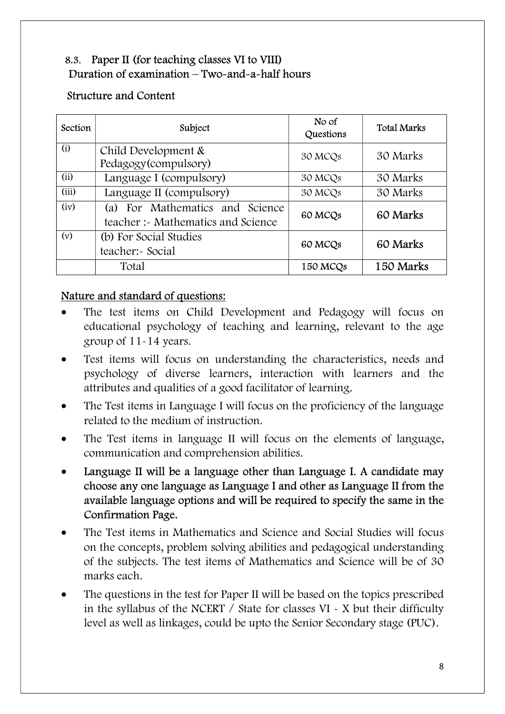# 8.3. Paper II (for teaching classes VI to VIII) Duration of examination – Two-and-a-half hours

#### Structure and Content

| Section | Subject                                                                  | No of<br>Questions   | <b>Total Marks</b> |
|---------|--------------------------------------------------------------------------|----------------------|--------------------|
| (i)     | Child Development &<br>Pedagogy(compulsory)                              | 30 MCQ <sub>s</sub>  | 30 Marks           |
| (ii)    | Language I (compulsory)                                                  | 30 MCQ <sub>s</sub>  | 30 Marks           |
| (iii)   | Language II (compulsory)                                                 | 30 MCQs              | 30 Marks           |
| (iv)    | For Mathematics and Science<br>(a)<br>teacher :- Mathematics and Science | 60 MCQ <sub>s</sub>  | 60 Marks           |
| (v)     | (b) For Social Studies<br>teacher:- Social                               | 60 MCQ <sub>s</sub>  | 60 Marks           |
|         | Total                                                                    | 150 MCQ <sub>s</sub> | 150 Marks          |

#### Nature and standard of questions:

- The test items on Child Development and Pedagogy will focus on educational psychology of teaching and learning, relevant to the age group of 11-14 years.
- Test items will focus on understanding the characteristics, needs and psychology of diverse learners, interaction with learners and the attributes and qualities of a good facilitator of learning.
- The Test items in Language I will focus on the proficiency of the language related to the medium of instruction.
- The Test items in language II will focus on the elements of language, communication and comprehension abilities.
- Language II will be a language other than Language I. A candidate may choose any one language as Language I and other as Language II from the available language options and will be required to specify the same in the Confirmation Page.
- The Test items in Mathematics and Science and Social Studies will focus on the concepts, problem solving abilities and pedagogical understanding of the subjects. The test items of Mathematics and Science will be of 30 marks each.
- The questions in the test for Paper II will be based on the topics prescribed in the syllabus of the NCERT / State for classes VI - X but their difficulty level as well as linkages, could be upto the Senior Secondary stage (PUC).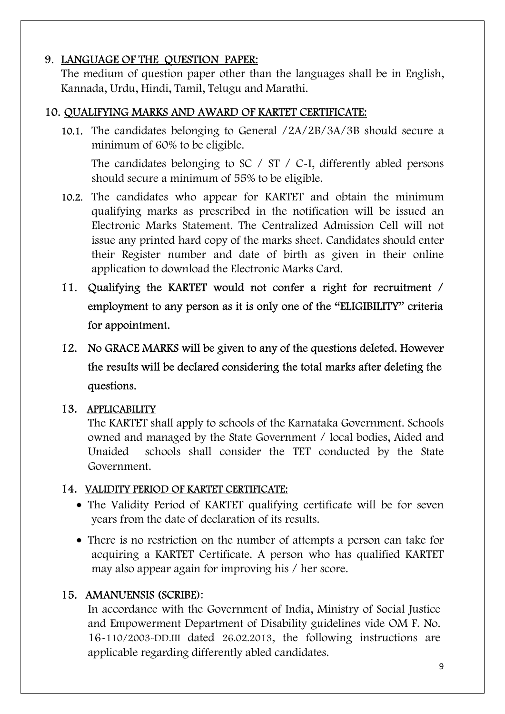# 9. LANGUAGE OF THE QUESTION PAPER:

The medium of question paper other than the languages shall be in English, Kannada, Urdu, Hindi, Tamil, Telugu and Marathi.

### 10. QUALIFYING MARKS AND AWARD OF KARTET CERTIFICATE:

10.1. The candidates belonging to General /2A/2B/3A/3B should secure a minimum of 60% to be eligible.

The candidates belonging to SC  $/$  ST  $/$  C $\sim$ I, differently abled persons should secure a minimum of 55% to be eligible.

- 10.2. The candidates who appear for KARTET and obtain the minimum qualifying marks as prescribed in the notification will be issued an Electronic Marks Statement. The Centralized Admission Cell will not issue any printed hard copy of the marks sheet. Candidates should enter their Register number and date of birth as given in their online application to download the Electronic Marks Card.
- 11. Qualifying the KARTET would not confer a right for recruitment / employment to any person as it is only one of the "ELIGIBILITY" criteria for appointment.
- 12. No GRACE MARKS will be given to any of the questions deleted. However the results will be declared considering the total marks after deleting the questions.

#### 13. APPLICABILITY

The KARTET shall apply to schools of the Karnataka Government. Schools owned and managed by the State Government / local bodies, Aided and Unaided schools shall consider the TET conducted by the State Government.

#### 14. VALIDITY PERIOD OF KARTET CERTIFICATE:

- The Validity Period of KARTET qualifying certificate will be for seven years from the date of declaration of its results.
- There is no restriction on the number of attempts a person can take for acquiring a KARTET Certificate. A person who has qualified KARTET may also appear again for improving his / her score.

#### 15. AMANUENSIS (SCRIBE):

 In accordance with the Government of India, Ministry of Social Justice and Empowerment Department of Disability guidelines vide OM F. No. 16-110/2003-DD.III dated 26.02.2013, the following instructions are applicable regarding differently abled candidates.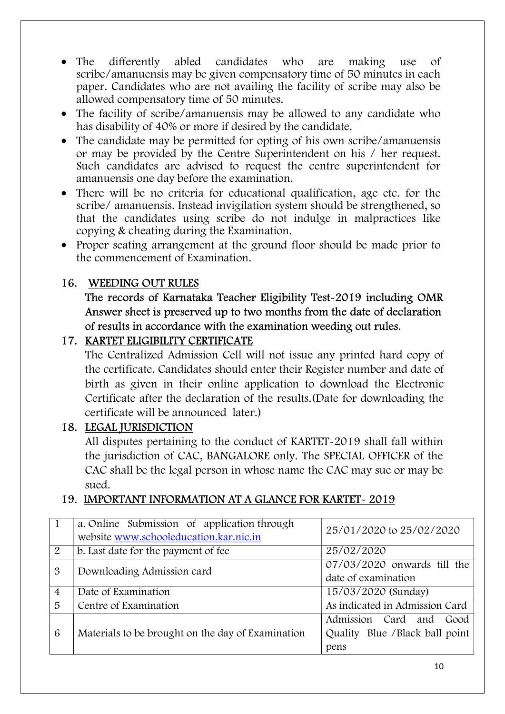- The differently abled candidates who are making use of scribe/amanuensis may be given compensatory time of 50 minutes in each paper. Candidates who are not availing the facility of scribe may also be allowed compensatory time of 50 minutes.
- The facility of scribe/amanuensis may be allowed to any candidate who has disability of 40% or more if desired by the candidate.
- The candidate may be permitted for opting of his own scribe/amanuensis or may be provided by the Centre Superintendent on his / her request. Such candidates are advised to request the centre superintendent for amanuensis one day before the examination.
- There will be no criteria for educational qualification, age etc. for the scribe/ amanuensis. Instead invigilation system should be strengthened, so that the candidates using scribe do not indulge in malpractices like copying & cheating during the Examination.
- Proper seating arrangement at the ground floor should be made prior to the commencement of Examination.

#### 16. WEEDING OUT RULES

### The records of Karnataka Teacher Eligibility Test-2019 including OMR Answer sheet is preserved up to two months from the date of declaration of results in accordance with the examination weeding out rules.

#### 17. KARTET ELIGIBILITY CERTIFICATE

 The Centralized Admission Cell will not issue any printed hard copy of the certificate. Candidates should enter their Register number and date of birth as given in their online application to download the Electronic Certificate after the declaration of the results.(Date for downloading the certificate will be announced later.)

#### 18. LEGAL JURISDICTION

 All disputes pertaining to the conduct of KARTET-2019 shall fall within the jurisdiction of CAC, BANGALORE only. The SPECIAL OFFICER of the CAC shall be the legal person in whose name the CAC may sue or may be sued.

#### 19. IMPORTANT INFORMATION AT A GLANCE FOR KARTET- 2019

|                | a. Online Submission of application through<br>website www.schooleducation.kar.nic.in | 25/01/2020 to 25/02/2020                                              |
|----------------|---------------------------------------------------------------------------------------|-----------------------------------------------------------------------|
| 2              | b. Last date for the payment of fee                                                   | 25/02/2020                                                            |
| $\mathfrak{B}$ | Downloading Admission card                                                            | 07/03/2020 onwards till the<br>date of examination                    |
| $\overline{4}$ | Date of Examination                                                                   | 15/03/2020 (Sunday)                                                   |
| 5              | Centre of Examination                                                                 | As indicated in Admission Card                                        |
| 6              | Materials to be brought on the day of Examination                                     | Admission Card and<br>Good<br>Quality Blue / Black ball point<br>pens |